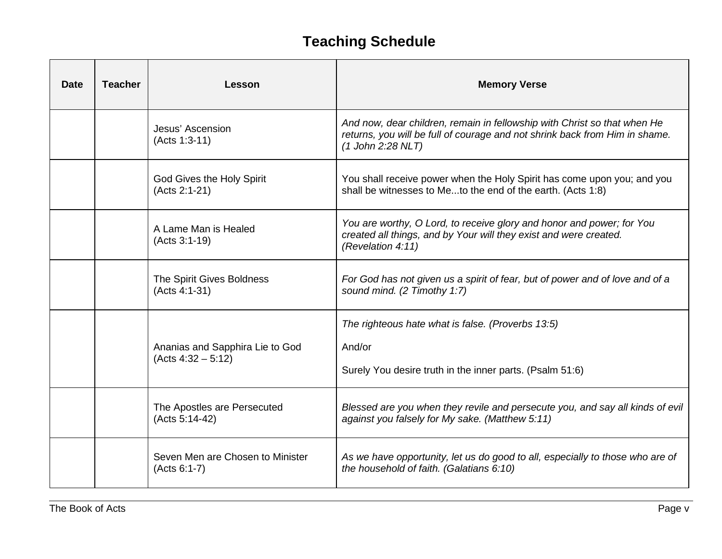## **Teaching Schedule**

| <b>Date</b> | <b>Teacher</b> | Lesson                                                  | <b>Memory Verse</b>                                                                                                                                                          |
|-------------|----------------|---------------------------------------------------------|------------------------------------------------------------------------------------------------------------------------------------------------------------------------------|
|             |                | Jesus' Ascension<br>(Acts 1:3-11)                       | And now, dear children, remain in fellowship with Christ so that when He<br>returns, you will be full of courage and not shrink back from Him in shame.<br>(1 John 2:28 NLT) |
|             |                | God Gives the Holy Spirit<br>(Acts 2:1-21)              | You shall receive power when the Holy Spirit has come upon you; and you<br>shall be witnesses to Meto the end of the earth. (Acts 1:8)                                       |
|             |                | A Lame Man is Healed<br>(Acts 3:1-19)                   | You are worthy, O Lord, to receive glory and honor and power; for You<br>created all things, and by Your will they exist and were created.<br>(Revelation 4:11)              |
|             |                | The Spirit Gives Boldness<br>(Acts 4:1-31)              | For God has not given us a spirit of fear, but of power and of love and of a<br>sound mind. (2 Timothy 1:7)                                                                  |
|             |                | Ananias and Sapphira Lie to God<br>$(Acts 4:32 - 5:12)$ | The righteous hate what is false. (Proverbs 13:5)<br>And/or<br>Surely You desire truth in the inner parts. (Psalm 51:6)                                                      |
|             |                | The Apostles are Persecuted<br>(Acts 5:14-42)           | Blessed are you when they revile and persecute you, and say all kinds of evil<br>against you falsely for My sake. (Matthew 5:11)                                             |
|             |                | Seven Men are Chosen to Minister<br>(Acts 6:1-7)        | As we have opportunity, let us do good to all, especially to those who are of<br>the household of faith. (Galatians 6:10)                                                    |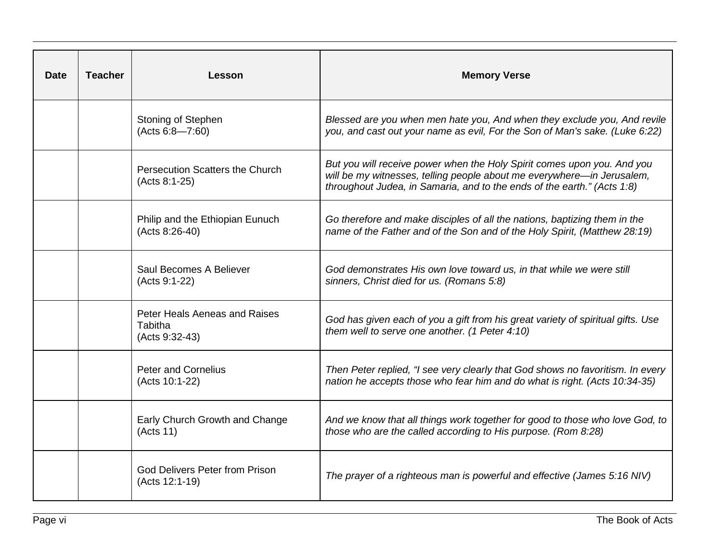| <b>Date</b> | <b>Teacher</b> | Lesson                                                     | <b>Memory Verse</b>                                                                                                                                                                                                          |
|-------------|----------------|------------------------------------------------------------|------------------------------------------------------------------------------------------------------------------------------------------------------------------------------------------------------------------------------|
|             |                | Stoning of Stephen<br>(Acts 6:8—7:60)                      | Blessed are you when men hate you, And when they exclude you, And revile<br>you, and cast out your name as evil, For the Son of Man's sake. (Luke 6:22)                                                                      |
|             |                | <b>Persecution Scatters the Church</b><br>(Acts 8:1-25)    | But you will receive power when the Holy Spirit comes upon you. And you<br>will be my witnesses, telling people about me everywhere-in Jerusalem,<br>throughout Judea, in Samaria, and to the ends of the earth." (Acts 1:8) |
|             |                | Philip and the Ethiopian Eunuch<br>(Acts 8:26-40)          | Go therefore and make disciples of all the nations, baptizing them in the<br>name of the Father and of the Son and of the Holy Spirit, (Matthew 28:19)                                                                       |
|             |                | Saul Becomes A Believer<br>(Acts 9:1-22)                   | God demonstrates His own love toward us, in that while we were still<br>sinners, Christ died for us. (Romans 5:8)                                                                                                            |
|             |                | Peter Heals Aeneas and Raises<br>Tabitha<br>(Acts 9:32-43) | God has given each of you a gift from his great variety of spiritual gifts. Use<br>them well to serve one another. (1 Peter 4:10)                                                                                            |
|             |                | <b>Peter and Cornelius</b><br>(Acts 10:1-22)               | Then Peter replied, "I see very clearly that God shows no favoritism. In every<br>nation he accepts those who fear him and do what is right. (Acts 10:34-35)                                                                 |
|             |                | Early Church Growth and Change<br>(Acts 11)                | And we know that all things work together for good to those who love God, to<br>those who are the called according to His purpose. (Rom 8:28)                                                                                |
|             |                | <b>God Delivers Peter from Prison</b><br>(Acts 12:1-19)    | The prayer of a righteous man is powerful and effective (James 5:16 NIV)                                                                                                                                                     |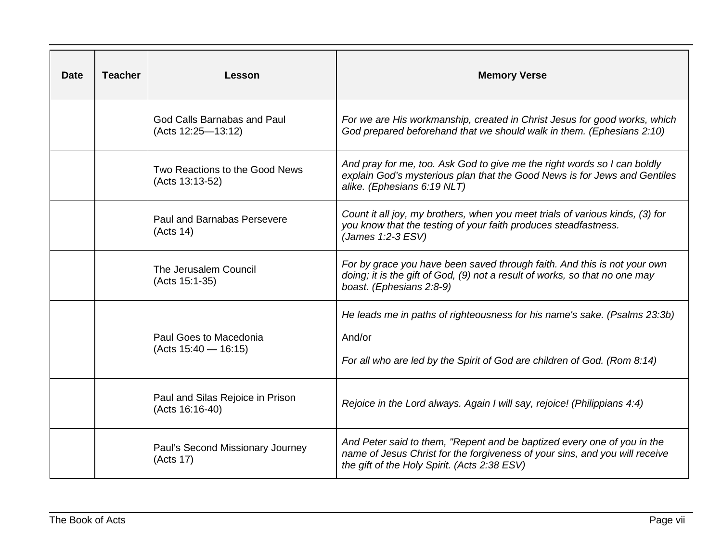| <b>Date</b> | <b>Teacher</b> | Lesson                                              | <b>Memory Verse</b>                                                                                                                                                                                    |
|-------------|----------------|-----------------------------------------------------|--------------------------------------------------------------------------------------------------------------------------------------------------------------------------------------------------------|
|             |                | God Calls Barnabas and Paul<br>(Acts 12:25-13:12)   | For we are His workmanship, created in Christ Jesus for good works, which<br>God prepared beforehand that we should walk in them. (Ephesians 2:10)                                                     |
|             |                | Two Reactions to the Good News<br>(Acts 13:13-52)   | And pray for me, too. Ask God to give me the right words so I can boldly<br>explain God's mysterious plan that the Good News is for Jews and Gentiles<br>alike. (Ephesians 6:19 NLT)                   |
|             |                | Paul and Barnabas Persevere<br>(Acts 14)            | Count it all joy, my brothers, when you meet trials of various kinds, (3) for<br>you know that the testing of your faith produces steadfastness.<br>(James 1:2-3 ESV)                                  |
|             |                | The Jerusalem Council<br>(Acts 15:1-35)             | For by grace you have been saved through faith. And this is not your own<br>doing; it is the gift of God, (9) not a result of works, so that no one may<br>boast. (Ephesians 2:8-9)                    |
|             |                | Paul Goes to Macedonia<br>$(Acts 15:40 - 16:15)$    | He leads me in paths of righteousness for his name's sake. (Psalms 23:3b)<br>And/or<br>For all who are led by the Spirit of God are children of God. (Rom 8:14)                                        |
|             |                | Paul and Silas Rejoice in Prison<br>(Acts 16:16-40) | Rejoice in the Lord always. Again I will say, rejoice! (Philippians 4:4)                                                                                                                               |
|             |                | Paul's Second Missionary Journey<br>(Acts 17)       | And Peter said to them, "Repent and be baptized every one of you in the<br>name of Jesus Christ for the forgiveness of your sins, and you will receive<br>the gift of the Holy Spirit. (Acts 2:38 ESV) |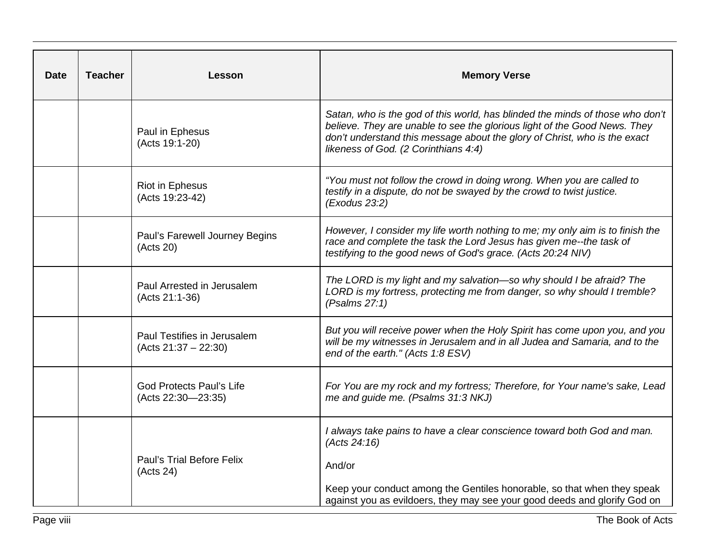| Date | <b>Teacher</b> | Lesson                                                | <b>Memory Verse</b>                                                                                                                                                                                                                                                             |
|------|----------------|-------------------------------------------------------|---------------------------------------------------------------------------------------------------------------------------------------------------------------------------------------------------------------------------------------------------------------------------------|
|      |                | Paul in Ephesus<br>(Acts 19:1-20)                     | Satan, who is the god of this world, has blinded the minds of those who don't<br>believe. They are unable to see the glorious light of the Good News. They<br>don't understand this message about the glory of Christ, who is the exact<br>likeness of God. (2 Corinthians 4:4) |
|      |                | <b>Riot in Ephesus</b><br>(Acts 19:23-42)             | "You must not follow the crowd in doing wrong. When you are called to<br>testify in a dispute, do not be swayed by the crowd to twist justice.<br>(Exodus 23:2)                                                                                                                 |
|      |                | Paul's Farewell Journey Begins<br>(Acts 20)           | However, I consider my life worth nothing to me; my only aim is to finish the<br>race and complete the task the Lord Jesus has given me--the task of<br>testifying to the good news of God's grace. (Acts 20:24 NIV)                                                            |
|      |                | Paul Arrested in Jerusalem<br>(Acts 21:1-36)          | The LORD is my light and my salvation-so why should I be afraid? The<br>LORD is my fortress, protecting me from danger, so why should I tremble?<br>(Psalms 27:1)                                                                                                               |
|      |                | Paul Testifies in Jerusalem<br>$(Acts 21:37 - 22:30)$ | But you will receive power when the Holy Spirit has come upon you, and you<br>will be my witnesses in Jerusalem and in all Judea and Samaria, and to the<br>end of the earth." (Acts 1:8 ESV)                                                                                   |
|      |                | <b>God Protects Paul's Life</b><br>(Acts 22:30-23:35) | For You are my rock and my fortress; Therefore, for Your name's sake, Lead<br>me and guide me. (Psalms 31:3 NKJ)                                                                                                                                                                |
|      |                |                                                       | I always take pains to have a clear conscience toward both God and man.<br>(Acts 24:16)                                                                                                                                                                                         |
|      |                | <b>Paul's Trial Before Felix</b><br>(Acts 24)         | And/or                                                                                                                                                                                                                                                                          |
|      |                |                                                       | Keep your conduct among the Gentiles honorable, so that when they speak<br>against you as evildoers, they may see your good deeds and glorify God on                                                                                                                            |